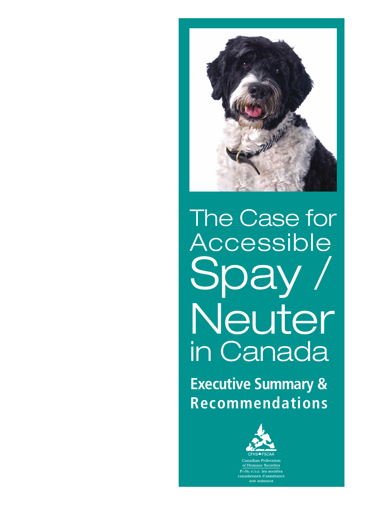

# The Case for Accessible Spay Neuter in Canada

**Executive Summary & Recommendations**

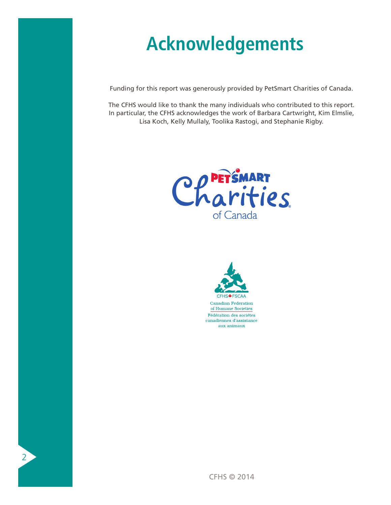# **Acknowledgements**

Funding for this report was generously provided by PetSmart Charities of Canada.

The CFHS would like to thank the many individuals who contributed to this report. In particular, the CFHS acknowledges the work of Barbara Cartwright, Kim Elmslie, Lisa Koch, Kelly Mullaly, Toolika Rastogi, and Stephanie Rigby.





of Humane Societies Fédération des sociétes canadiennes d'assistance aux animaux

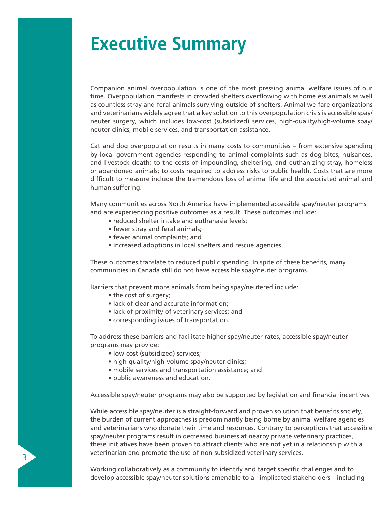## **Executive Summary**

Companion animal overpopulation is one of the most pressing animal welfare issues of our time. Overpopulation manifests in crowded shelters overflowing with homeless animals as well as countless stray and feral animals surviving outside of shelters. Animal welfare organizations and veterinarians widely agree that a key solution to this overpopulation crisis is accessible spay/ neuter surgery, which includes low-cost (subsidized) services, high-quality/high-volume spay/ neuter clinics, mobile services, and transportation assistance.

Cat and dog overpopulation results in many costs to communities – from extensive spending by local government agencies responding to animal complaints such as dog bites, nuisances, and livestock death; to the costs of impounding, sheltering, and euthanizing stray, homeless or abandoned animals; to costs required to address risks to public health. Costs that are more difficult to measure include the tremendous loss of animal life and the associated animal and human suffering.

Many communities across North America have implemented accessible spay/neuter programs and are experiencing positive outcomes as a result. These outcomes include:

- reduced shelter intake and euthanasia levels;
- fewer stray and feral animals;
- fewer animal complaints; and
- increased adoptions in local shelters and rescue agencies.

These outcomes translate to reduced public spending. In spite of these benefits, many communities in Canada still do not have accessible spay/neuter programs.

Barriers that prevent more animals from being spay/neutered include:

 • the cost of surgery;

3

- lack of clear and accurate information;
- lack of proximity of veterinary services; and
- corresponding issues of transportation.

To address these barriers and facilitate higher spay/neuter rates, accessible spay/neuter programs may provide:

- low-cost (subsidized) services;
- high-quality/high-volume spay/neuter clinics;
- mobile services and transportation assistance; and
- public awareness and education.

Accessible spay/neuter programs may also be supported by legislation and financial incentives.

While accessible spay/neuter is a straight-forward and proven solution that benefits society, the burden of current approaches is predominantly being borne by animal welfare agencies and veterinarians who donate their time and resources. Contrary to perceptions that accessible spay/neuter programs result in decreased business at nearby private veterinary practices, these initiatives have been proven to attract clients who are not yet in a relationship with a veterinarian and promote the use of non-subsidized veterinary services.

Working collaboratively as a community to identify and target specific challenges and to develop accessible spay/neuter solutions amenable to all implicated stakeholders – including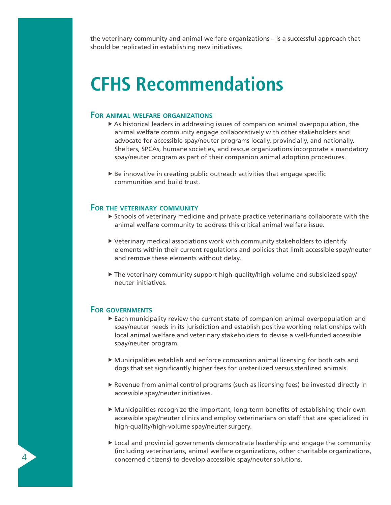the veterinary community and animal welfare organizations – is a successful approach that should be replicated in establishing new initiatives.

### **CFHS Recommendations**

#### **For animal welfare organizations**

- $\triangleright$  As historical leaders in addressing issues of companion animal overpopulation, the animal welfare community engage collaboratively with other stakeholders and advocate for accessible spay/neuter programs locally, provincially, and nationally. Shelters, SPCAs, humane societies, and rescue organizations incorporate a mandatory spay/neuter program as part of their companion animal adoption procedures.
- $\triangleright$  Be innovative in creating public outreach activities that engage specific communities and build trust.

#### **For the veterinary community**

- $\triangleright$  Schools of veterinary medicine and private practice veterinarians collaborate with the animal welfare community to address this critical animal welfare issue.
- Veterinary medical associations work with community stakeholders to identify elements within their current regulations and policies that limit accessible spay/neuter and remove these elements without delay.
- The veterinary community support high-quality/high-volume and subsidized spay/ neuter initiatives.

#### **For governments**

 $\overline{4}$ 

- Each municipality review the current state of companion animal overpopulation and spay/neuter needs in its jurisdiction and establish positive working relationships with local animal welfare and veterinary stakeholders to devise a well-funded accessible spay/neuter program.
- Municipalities establish and enforce companion animal licensing for both cats and dogs that set significantly higher fees for unsterilized versus sterilized animals.
- Revenue from animal control programs (such as licensing fees) be invested directly in accessible spay/neuter initiatives.
- Municipalities recognize the important, long-term benefits of establishing their own accessible spay/neuter clinics and employ veterinarians on staff that are specialized in high-quality/high-volume spay/neuter surgery.
- Local and provincial governments demonstrate leadership and engage the community (including veterinarians, animal welfare organizations, other charitable organizations, concerned citizens) to develop accessible spay/neuter solutions.